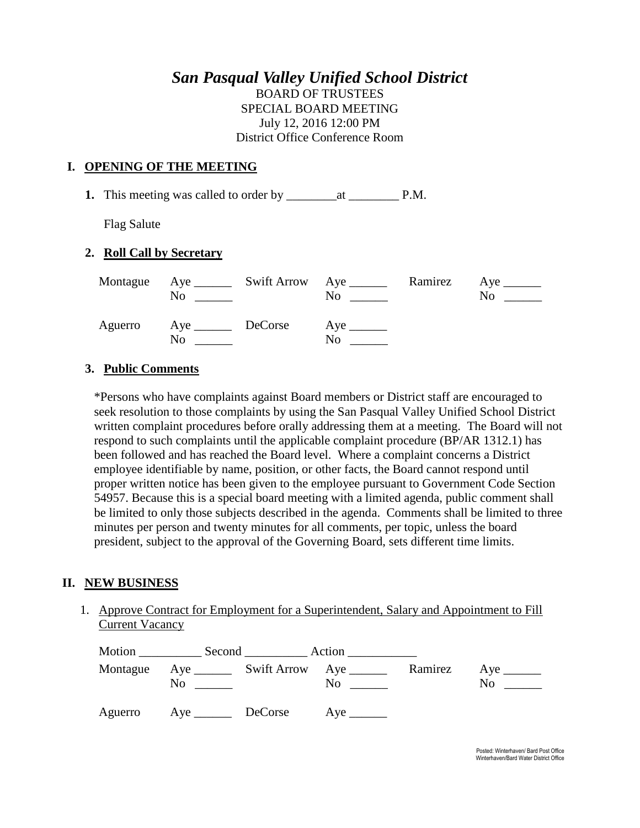# *San Pasqual Valley Unified School District*

BOARD OF TRUSTEES SPECIAL BOARD MEETING July 12, 2016 12:00 PM District Office Conference Room

#### **I. OPENING OF THE MEETING**

**1.** This meeting was called to order by \_\_\_\_\_\_\_\_at \_\_\_\_\_\_\_\_ P.M.

Flag Salute

## **2. Roll Call by Secretary**

|         | No                          | Montague Aye ________ Swift Arrow Aye _______ | No | Ramirez | $Aye$ <sub>______</sub><br>No |
|---------|-----------------------------|-----------------------------------------------|----|---------|-------------------------------|
| Aguerro | Aye _________ DeCorse<br>No |                                               | No |         |                               |

## **3. Public Comments**

\*Persons who have complaints against Board members or District staff are encouraged to seek resolution to those complaints by using the San Pasqual Valley Unified School District written complaint procedures before orally addressing them at a meeting. The Board will not respond to such complaints until the applicable complaint procedure (BP/AR 1312.1) has been followed and has reached the Board level. Where a complaint concerns a District employee identifiable by name, position, or other facts, the Board cannot respond until proper written notice has been given to the employee pursuant to Government Code Section 54957. Because this is a special board meeting with a limited agenda, public comment shall be limited to only those subjects described in the agenda. Comments shall be limited to three minutes per person and twenty minutes for all comments, per topic, unless the board president, subject to the approval of the Governing Board, sets different time limits.

#### **II. NEW BUSINESS**

1. Approve Contract for Employment for a Superintendent, Salary and Appointment to Fill Current Vacancy

| Montague | No |         | N <sub>0</sub>          | Ramirez | $Aye$ <sub>______</sub><br>N <sub>0</sub> |
|----------|----|---------|-------------------------|---------|-------------------------------------------|
| Aguerro  |    | DeCorse | $Aye$ <sub>______</sub> |         |                                           |

Posted: Winterhaven/ Bard Post Office Winterhaven/Bard Water District Office